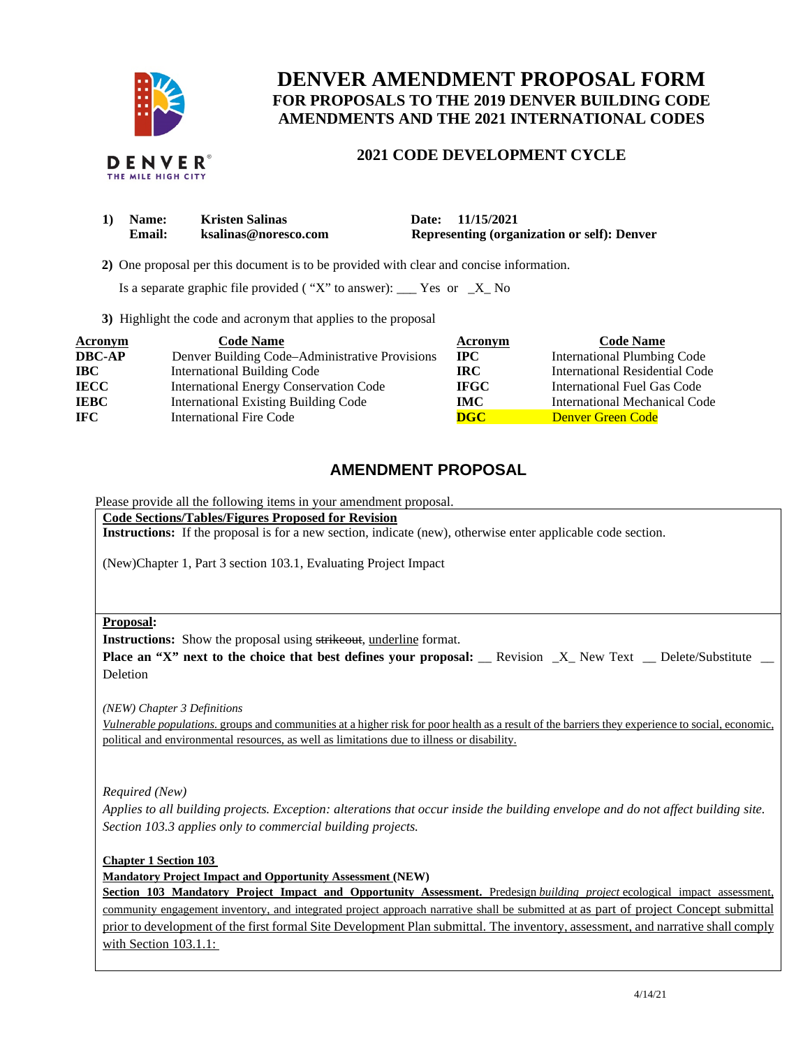

# **DENVER AMENDMENT PROPOSAL FORM FOR PROPOSALS TO THE 2019 DENVER BUILDING CODE AMENDMENTS AND THE 2021 INTERNATIONAL CODES**

### **2021 CODE DEVELOPMENT CYCLE**

| 1) Name:      | <b>Kristen Salinas</b> | Date: 11/15/2021                            |
|---------------|------------------------|---------------------------------------------|
| <b>Email:</b> | ksalinas@noresco.com   | Representing (organization or self): Denver |

 **2)** One proposal per this document is to be provided with clear and concise information.

Is a separate graphic file provided ("X" to answer):  $\frac{1}{1}$  Yes or  $\frac{1}{1}$  No

**3)** Highlight the code and acronym that applies to the proposal

| <b>Acronym</b> | <b>Code Name</b>                               | Acronym                   | <b>Code Name</b>               |
|----------------|------------------------------------------------|---------------------------|--------------------------------|
| <b>DBC-AP</b>  | Denver Building Code–Administrative Provisions | $\bf{IPC}$                | International Plumbing Code    |
| <b>IBC</b>     | <b>International Building Code</b>             | IRC.                      | International Residential Code |
| <b>IECC</b>    | <b>International Energy Conservation Code</b>  | <b>IFGC</b>               | International Fuel Gas Code    |
| <b>IEBC</b>    | <b>International Existing Building Code</b>    | IMC .                     | International Mechanical Code  |
| <b>IFC</b>     | <b>International Fire Code</b>                 | $\overline{\textbf{DGC}}$ | Denver Green Code              |

## **AMENDMENT PROPOSAL**

Please provide all the following items in your amendment proposal.

**Code Sections/Tables/Figures Proposed for Revision** 

**Instructions:** If the proposal is for a new section, indicate (new), otherwise enter applicable code section.

(New)Chapter 1, Part 3 section 103.1, Evaluating Project Impact

#### **Proposal:**

**Instructions:** Show the proposal using strikeout, underline format.

**Place an "X" next to the choice that best defines your proposal:** Revision X New Text Delete/Substitute Deletion

*(NEW) Chapter 3 Definitions* 

*Vulnerable populations.* groups and communities at a higher risk for poor health as a result of the barriers they experience to social, economic, political and environmental resources, as well as limitations due to illness or disability.

*Required (New)* 

*Applies to all building projects. Exception: alterations that occur inside the building envelope and do not affect building site. Section 103.3 applies only to commercial building projects.* 

**Chapter 1 Section 103** 

**Mandatory Project Impact and Opportunity Assessment (NEW)**

**Section 103 Mandatory Project Impact and Opportunity Assessment.** Predesign *building project* ecological impact assessment, community engagement inventory, and integrated project approach narrative shall be submitted at as part of project Concept submittal prior to development of the first formal Site Development Plan submittal. The inventory, assessment, and narrative shall comply with Section 103.1.1: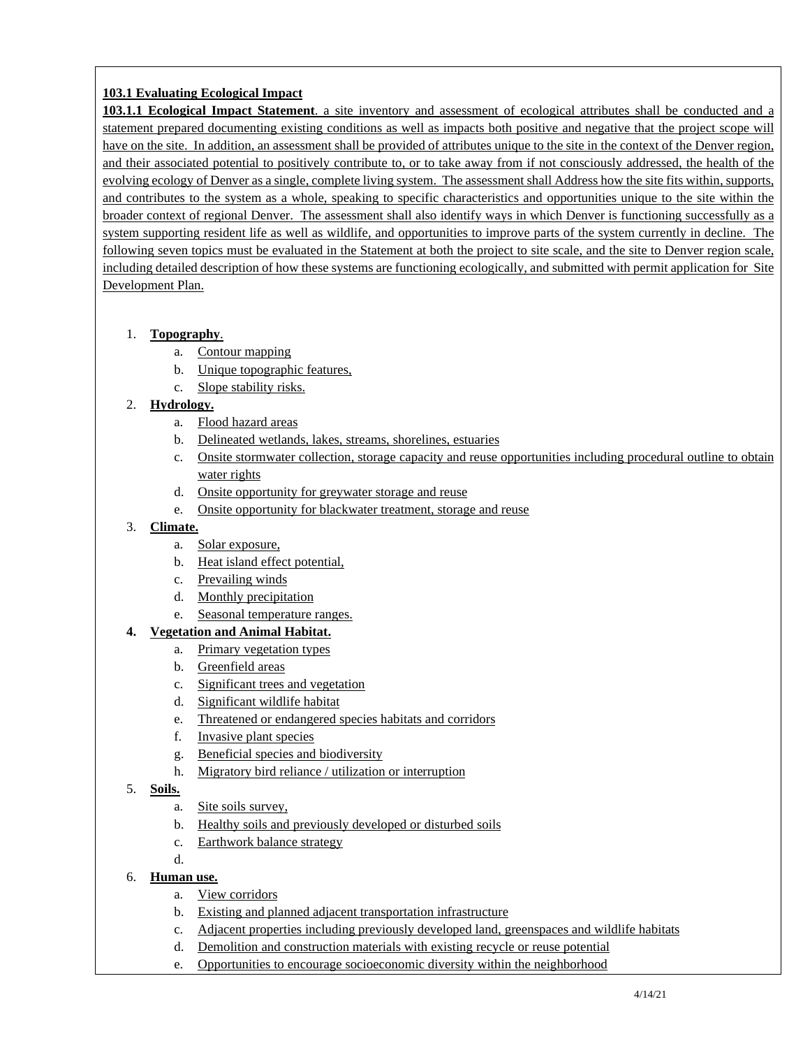### **103.1 Evaluating Ecological Impact**

**103.1.1 Ecological Impact Statement**. a site inventory and assessment of ecological attributes shall be conducted and a statement prepared documenting existing conditions as well as impacts both positive and negative that the project scope will have on the site. In addition, an assessment shall be provided of attributes unique to the site in the context of the Denver region, and their associated potential to positively contribute to, or to take away from if not consciously addressed, the health of the evolving ecology of Denver as a single, complete living system. The assessment shall Address how the site fits within, supports, and contributes to the system as a whole, speaking to specific characteristics and opportunities unique to the site within the broader context of regional Denver. The assessment shall also identify ways in which Denver is functioning successfully as a system supporting resident life as well as wildlife, and opportunities to improve parts of the system currently in decline. The following seven topics must be evaluated in the Statement at both the project to site scale, and the site to Denver region scale, including detailed description of how these systems are functioning ecologically, and submitted with permit application for Site Development Plan.

#### 1. **Topography**.

- a. Contour mapping
- b. Unique topographic features,
- c. Slope stability risks.

#### 2. **Hydrology.**

- a. Flood hazard areas
- b. Delineated wetlands, lakes, streams, shorelines, estuaries
- c. Onsite stormwater collection, storage capacity and reuse opportunities including procedural outline to obtain water rights
- d. Onsite opportunity for greywater storage and reuse
- e. Onsite opportunity for blackwater treatment, storage and reuse

#### 3. **Climate.**

- a. Solar exposure,
- b. Heat island effect potential,
- c. Prevailing winds
- d. Monthly precipitation
- e. Seasonal temperature ranges.

#### **4. Vegetation and Animal Habitat.**

- a. Primary vegetation types
- b. Greenfield areas
- c. Significant trees and vegetation
- d. Significant wildlife habitat
- e. Threatened or endangered species habitats and corridors
- f. Invasive plant species
- g. Beneficial species and biodiversity
- h. Migratory bird reliance / utilization or interruption

#### 5. **Soils.**

- a. Site soils survey,
- b. Healthy soils and previously developed or disturbed soils
- c. Earthwork balance strategy
- d.
- 6. **Human use.**
	- a. View corridors
	- b. Existing and planned adjacent transportation infrastructure
	- c. Adjacent properties including previously developed land, greenspaces and wildlife habitats
	- d. Demolition and construction materials with existing recycle or reuse potential
	- e. Opportunities to encourage socioeconomic diversity within the neighborhood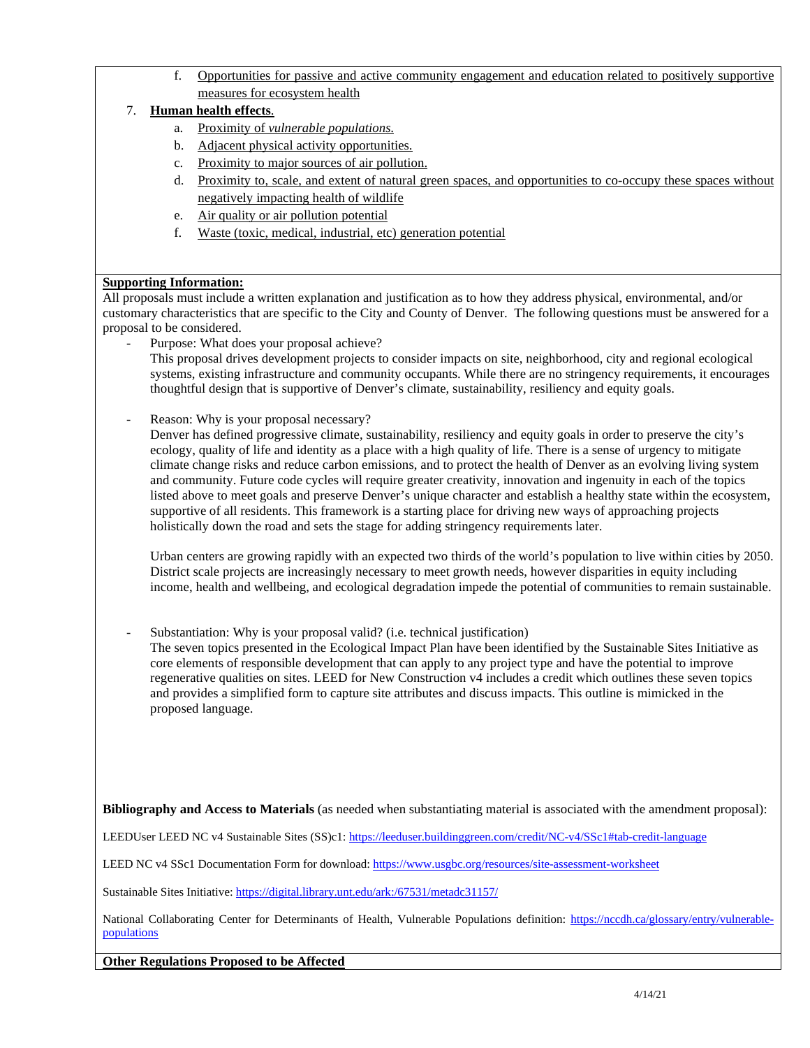f. Opportunities for passive and active community engagement and education related to positively supportive measures for ecosystem health

#### 7. **Human health effects**.

- a. Proximity of *vulnerable populations.*
- b. Adjacent physical activity opportunities.
- c. Proximity to major sources of air pollution.
- d. Proximity to, scale, and extent of natural green spaces, and opportunities to co-occupy these spaces without negatively impacting health of wildlife
- e. Air quality or air pollution potential
- f. Waste (toxic, medical, industrial, etc) generation potential

#### **Supporting Information:**

All proposals must include a written explanation and justification as to how they address physical, environmental, and/or customary characteristics that are specific to the City and County of Denver. The following questions must be answered for a proposal to be considered.

- Purpose: What does your proposal achieve?
	- This proposal drives development projects to consider impacts on site, neighborhood, city and regional ecological systems, existing infrastructure and community occupants. While there are no stringency requirements, it encourages thoughtful design that is supportive of Denver's climate, sustainability, resiliency and equity goals.
- Reason: Why is your proposal necessary?

Denver has defined progressive climate, sustainability, resiliency and equity goals in order to preserve the city's ecology, quality of life and identity as a place with a high quality of life. There is a sense of urgency to mitigate climate change risks and reduce carbon emissions, and to protect the health of Denver as an evolving living system and community. Future code cycles will require greater creativity, innovation and ingenuity in each of the topics listed above to meet goals and preserve Denver's unique character and establish a healthy state within the ecosystem, supportive of all residents. This framework is a starting place for driving new ways of approaching projects holistically down the road and sets the stage for adding stringency requirements later.

Urban centers are growing rapidly with an expected two thirds of the world's population to live within cities by 2050. District scale projects are increasingly necessary to meet growth needs, however disparities in equity including income, health and wellbeing, and ecological degradation impede the potential of communities to remain sustainable.

Substantiation: Why is your proposal valid? (i.e. technical justification)

The seven topics presented in the Ecological Impact Plan have been identified by the Sustainable Sites Initiative as core elements of responsible development that can apply to any project type and have the potential to improve regenerative qualities on sites. LEED for New Construction v4 includes a credit which outlines these seven topics and provides a simplified form to capture site attributes and discuss impacts. This outline is mimicked in the proposed language.

**Bibliography and Access to Materials** (as needed when substantiating material is associated with the amendment proposal):

LEEDUser LEED NC v4 Sustainable Sites (SS)c1: https://leeduser.buildinggreen.com/credit/NC-v4/SSc1#tab-credit-language

LEED NC v4 SSc1 Documentation Form for download:<https://www.usgbc.org/resources/site-assessment-worksheet>

Sustainable Sites Initiative[: https://digital.library.unt.edu/ark:/67531/metadc31157/](https://digital.library.unt.edu/ark:/67531/metadc31157/) 

National Collaborating Center for Determinants of Health, Vulnerable Populations definition: [https://nccdh.ca/glossary/entry/vulnerable](https://nccdh.ca/glossary/entry/vulnerable-populations)[populations](https://nccdh.ca/glossary/entry/vulnerable-populations) 

**Other Regulations Proposed to be Affected**